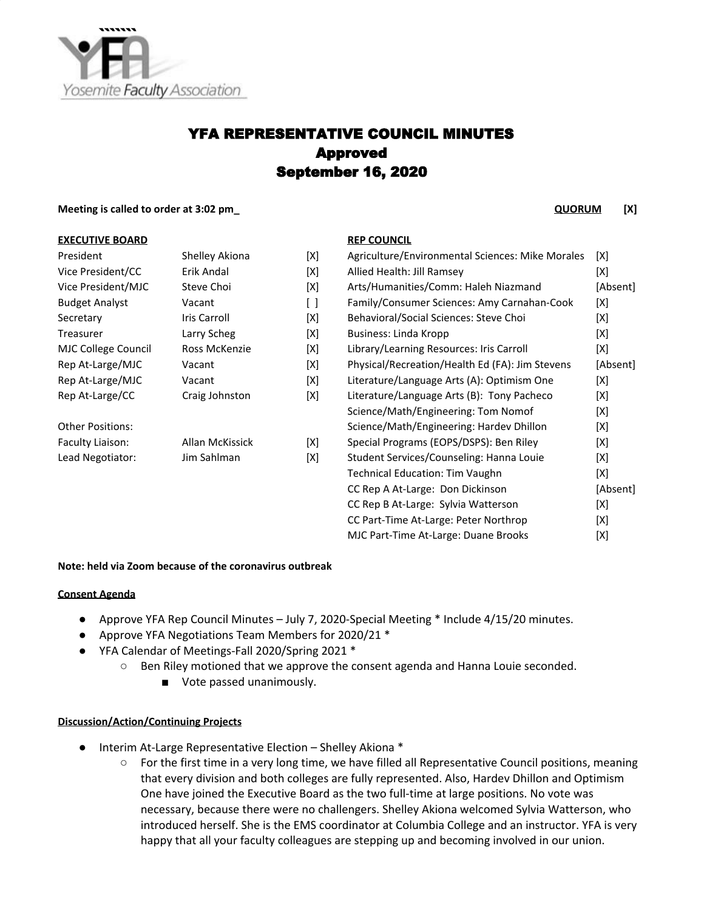

# YFA REPRESENTATIVE COUNCIL MINUTES Approved September 16, 2020

#### **Meeting is called to order at 3:02 pm\_ QUORUM [X]**

#### **EXECUTIVE BOARD**

|  | REP COUNCIL |  |
|--|-------------|--|
|  |             |  |

| President               | Shelley Akiona      | [X]                | Agriculture/Environmental Sciences: Mike Morales | [X]      |
|-------------------------|---------------------|--------------------|--------------------------------------------------|----------|
| Vice President/CC       | Erik Andal          | [X]                | Allied Health: Jill Ramsey                       | [X]      |
| Vice President/MJC      | Steve Choi          | [X]                | Arts/Humanities/Comm: Haleh Niazmand             | [Absent] |
| <b>Budget Analyst</b>   | Vacant              | $\left[ \ \right]$ | Family/Consumer Sciences: Amy Carnahan-Cook      | [X]      |
| Secretary               | <b>Iris Carroll</b> | [X]                | Behavioral/Social Sciences: Steve Choi           | [X]      |
| Treasurer               | Larry Scheg         | [X]                | Business: Linda Kropp                            | [X]      |
| MJC College Council     | Ross McKenzie       | [X]                | Library/Learning Resources: Iris Carroll         | [X]      |
| Rep At-Large/MJC        | Vacant              | [X]                | Physical/Recreation/Health Ed (FA): Jim Stevens  | [Absent] |
| Rep At-Large/MJC        | Vacant              | [X]                | Literature/Language Arts (A): Optimism One       | [X]      |
| Rep At-Large/CC         | Craig Johnston      | [X]                | Literature/Language Arts (B): Tony Pacheco       | [X]      |
|                         |                     |                    | Science/Math/Engineering: Tom Nomof              | [X]      |
| <b>Other Positions:</b> |                     |                    | Science/Math/Engineering: Hardev Dhillon         | [X]      |
| Faculty Liaison:        | Allan McKissick     | [X]                | Special Programs (EOPS/DSPS): Ben Riley          | [X]      |
| Lead Negotiator:        | Jim Sahlman         | [X]                | Student Services/Counseling: Hanna Louie         | [X]      |
|                         |                     |                    | <b>Technical Education: Tim Vaughn</b>           | [X]      |
|                         |                     |                    | CC Rep A At-Large: Don Dickinson                 | [Absent] |
|                         |                     |                    | CC Rep B At-Large: Sylvia Watterson              | [X]      |
|                         |                     |                    | CC Part-Time At-Large: Peter Northrop            | [X]      |
|                         |                     |                    | MJC Part-Time At-Large: Duane Brooks             | [X]      |

## **Note: held via Zoom because of the coronavirus outbreak**

#### **Consent Agenda**

- Approve YFA Rep Council Minutes July 7, 2020-Special Meeting \* Include 4/15/20 minutes.
- Approve YFA Negotiations Team Members for 2020/21 \*
- YFA Calendar of Meetings-Fall 2020/Spring 2021 \*
	- Ben Riley motioned that we approve the consent agenda and Hanna Louie seconded.
		- Vote passed unanimously.

## **Discussion/Action/Continuing Projects**

- Interim At-Large Representative Election Shelley Akiona \*
	- For the first time in a very long time, we have filled all Representative Council positions, meaning that every division and both colleges are fully represented. Also, Hardev Dhillon and Optimism One have joined the Executive Board as the two full-time at large positions. No vote was necessary, because there were no challengers. Shelley Akiona welcomed Sylvia Watterson, who introduced herself. She is the EMS coordinator at Columbia College and an instructor. YFA is very happy that all your faculty colleagues are stepping up and becoming involved in our union.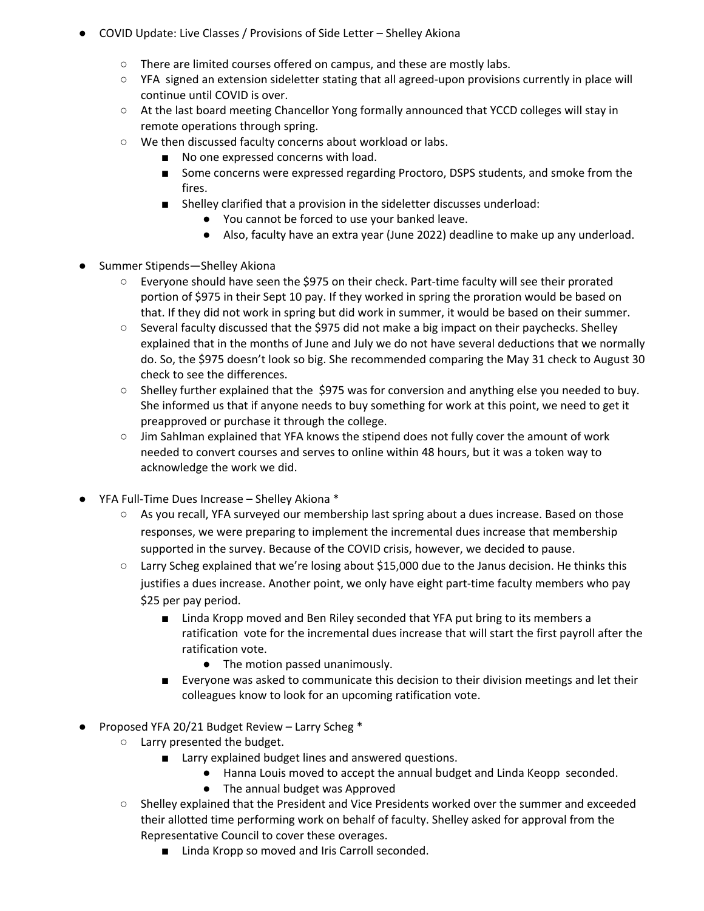- COVID Update: Live Classes / Provisions of Side Letter Shelley Akiona
	- There are limited courses offered on campus, and these are mostly labs.
	- YFA signed an extension sideletter stating that all agreed-upon provisions currently in place will continue until COVID is over.
	- At the last board meeting Chancellor Yong formally announced that YCCD colleges will stay in remote operations through spring.
	- We then discussed faculty concerns about workload or labs.
		- No one expressed concerns with load.
		- Some concerns were expressed regarding Proctoro, DSPS students, and smoke from the fires.
		- Shelley clarified that a provision in the sideletter discusses underload:
			- You cannot be forced to use your banked leave.
			- Also, faculty have an extra year (June 2022) deadline to make up any underload.
- Summer Stipends—Shelley Akiona
	- Everyone should have seen the \$975 on their check. Part-time faculty will see their prorated portion of \$975 in their Sept 10 pay. If they worked in spring the proration would be based on that. If they did not work in spring but did work in summer, it would be based on their summer.
	- Several faculty discussed that the \$975 did not make a big impact on their paychecks. Shelley explained that in the months of June and July we do not have several deductions that we normally do. So, the \$975 doesn't look so big. She recommended comparing the May 31 check to August 30 check to see the differences.
	- Shelley further explained that the \$975 was for conversion and anything else you needed to buy. She informed us that if anyone needs to buy something for work at this point, we need to get it preapproved or purchase it through the college.
	- Jim Sahlman explained that YFA knows the stipend does not fully cover the amount of work needed to convert courses and serves to online within 48 hours, but it was a token way to acknowledge the work we did.
- YFA Full-Time Dues Increase Shelley Akiona \*
	- As you recall, YFA surveyed our membership last spring about a dues increase. Based on those responses, we were preparing to implement the incremental dues increase that membership supported in the survey. Because of the COVID crisis, however, we decided to pause.
	- Larry Scheg explained that we're losing about \$15,000 due to the Janus decision. He thinks this justifies a dues increase. Another point, we only have eight part-time faculty members who pay \$25 per pay period.
		- Linda Kropp moved and Ben Riley seconded that YFA put bring to its members a ratification vote for the incremental dues increase that will start the first payroll after the ratification vote.
			- The motion passed unanimously.
		- Everyone was asked to communicate this decision to their division meetings and let their colleagues know to look for an upcoming ratification vote.
- Proposed YFA 20/21 Budget Review Larry Scheg \*
	- Larry presented the budget.
		- Larry explained budget lines and answered questions.
			- Hanna Louis moved to accept the annual budget and Linda Keopp seconded.
				- The annual budget was Approved
	- Shelley explained that the President and Vice Presidents worked over the summer and exceeded their allotted time performing work on behalf of faculty. Shelley asked for approval from the Representative Council to cover these overages.
		- Linda Kropp so moved and Iris Carroll seconded.